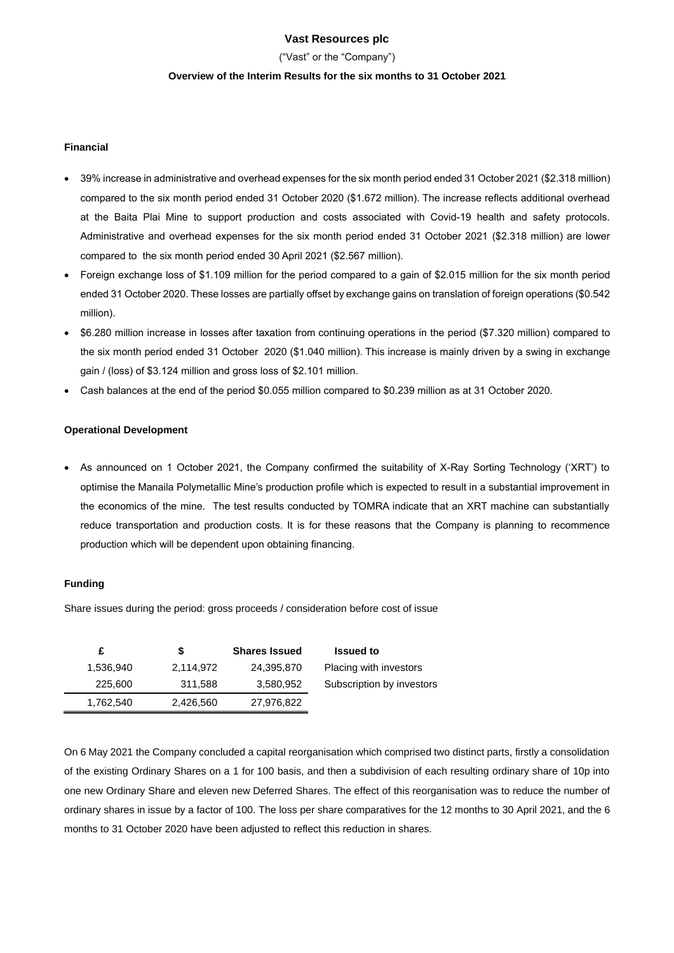### **Vast Resources plc**

("Vast" or the "Company")

#### **Overview of the Interim Results for the six months to 31 October 2021**

#### **Financial**

- 39% increase in administrative and overhead expenses for the six month period ended 31 October 2021 (\$2.318 million) compared to the six month period ended 31 October 2020 (\$1.672 million). The increase reflects additional overhead at the Baita Plai Mine to support production and costs associated with Covid-19 health and safety protocols. Administrative and overhead expenses for the six month period ended 31 October 2021 (\$2.318 million) are lower compared to the six month period ended 30 April 2021 (\$2.567 million).
- Foreign exchange loss of \$1.109 million for the period compared to a gain of \$2.015 million for the six month period ended 31 October 2020. These losses are partially offset by exchange gains on translation of foreign operations (\$0.542 million).
- \$6.280 million increase in losses after taxation from continuing operations in the period (\$7.320 million) compared to the six month period ended 31 October 2020 (\$1.040 million). This increase is mainly driven by a swing in exchange gain / (loss) of \$3.124 million and gross loss of \$2.101 million.
- Cash balances at the end of the period \$0.055 million compared to \$0.239 million as at 31 October 2020.

#### **Operational Development**

• As announced on 1 October 2021, the Company confirmed the suitability of X-Ray Sorting Technology ('XRT') to optimise the Manaila Polymetallic Mine's production profile which is expected to result in a substantial improvement in the economics of the mine. The test results conducted by TOMRA indicate that an XRT machine can substantially reduce transportation and production costs. It is for these reasons that the Company is planning to recommence production which will be dependent upon obtaining financing.

#### **Funding**

Share issues during the period: gross proceeds / consideration before cost of issue

| £         | S         | <b>Shares Issued</b> | <b>Issued to</b>          |
|-----------|-----------|----------------------|---------------------------|
| 1,536.940 | 2,114,972 | 24,395,870           | Placing with investors    |
| 225,600   | 311,588   | 3,580,952            | Subscription by investors |
| 1,762,540 | 2,426,560 | 27,976,822           |                           |

On 6 May 2021 the Company concluded a capital reorganisation which comprised two distinct parts, firstly a consolidation of the existing Ordinary Shares on a 1 for 100 basis, and then a subdivision of each resulting ordinary share of 10p into one new Ordinary Share and eleven new Deferred Shares. The effect of this reorganisation was to reduce the number of ordinary shares in issue by a factor of 100. The loss per share comparatives for the 12 months to 30 April 2021, and the 6 months to 31 October 2020 have been adjusted to reflect this reduction in shares.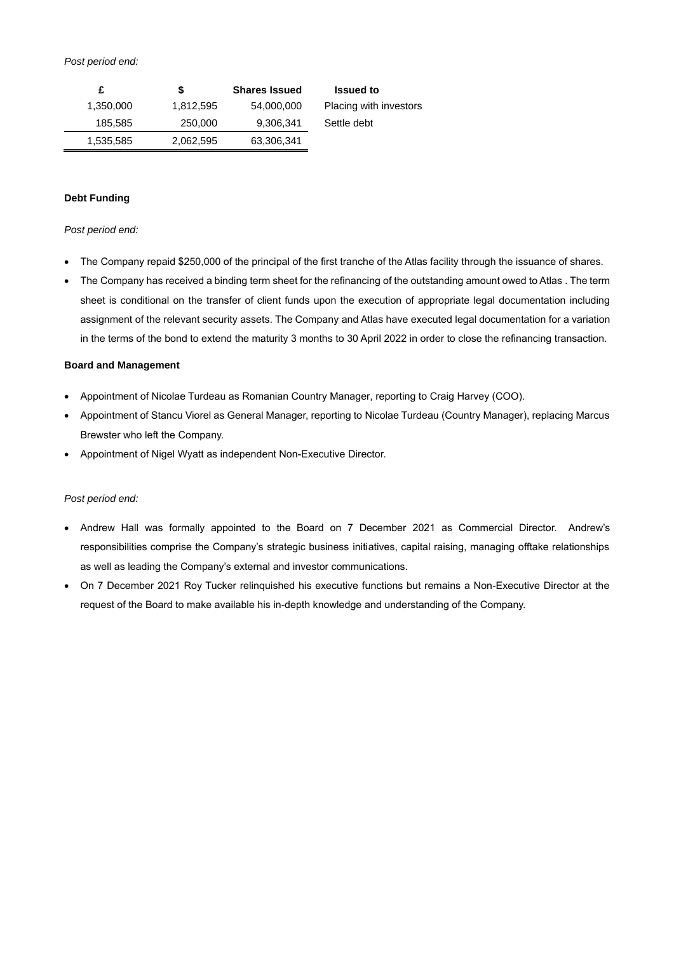#### *Post period end:*

| <b>Issued to</b>       | <b>Shares Issued</b> | S         |           |
|------------------------|----------------------|-----------|-----------|
| Placing with investors | 54,000,000           | 1,812,595 | 1,350,000 |
| Settle debt            | 9,306,341            | 250,000   | 185,585   |
|                        | 63,306,341           | 2,062,595 | 1,535,585 |

## **Debt Funding**

#### *Post period end:*

- The Company repaid \$250,000 of the principal of the first tranche of the Atlas facility through the issuance of shares.
- The Company has received a binding term sheet for the refinancing of the outstanding amount owed to Atlas . The term sheet is conditional on the transfer of client funds upon the execution of appropriate legal documentation including assignment of the relevant security assets. The Company and Atlas have executed legal documentation for a variation in the terms of the bond to extend the maturity 3 months to 30 April 2022 in order to close the refinancing transaction.

#### **Board and Management**

- Appointment of Nicolae Turdeau as Romanian Country Manager, reporting to Craig Harvey (COO).
- Appointment of Stancu Viorel as General Manager, reporting to Nicolae Turdeau (Country Manager), replacing Marcus Brewster who left the Company.
- Appointment of Nigel Wyatt as independent Non-Executive Director.

#### *Post period end:*

- Andrew Hall was formally appointed to the Board on 7 December 2021 as Commercial Director. Andrew's responsibilities comprise the Company's strategic business initiatives, capital raising, managing offtake relationships as well as leading the Company's external and investor communications.
- On 7 December 2021 Roy Tucker relinquished his executive functions but remains a Non-Executive Director at the request of the Board to make available his in-depth knowledge and understanding of the Company.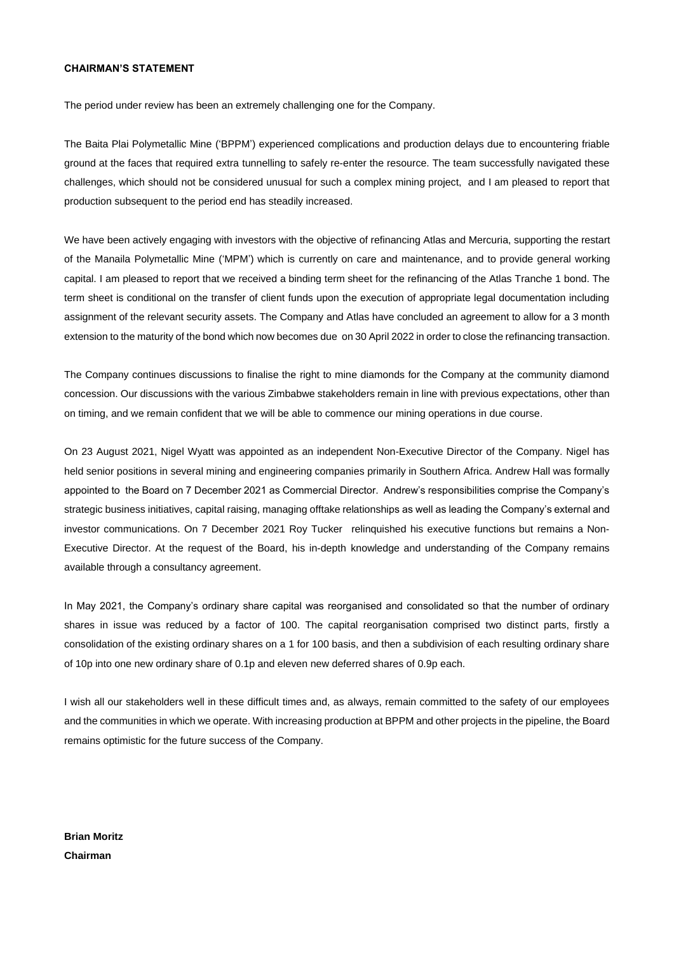#### **CHAIRMAN'S STATEMENT**

The period under review has been an extremely challenging one for the Company.

The Baita Plai Polymetallic Mine ('BPPM') experienced complications and production delays due to encountering friable ground at the faces that required extra tunnelling to safely re-enter the resource. The team successfully navigated these challenges, which should not be considered unusual for such a complex mining project, and I am pleased to report that production subsequent to the period end has steadily increased.

We have been actively engaging with investors with the objective of refinancing Atlas and Mercuria, supporting the restart of the Manaila Polymetallic Mine ('MPM') which is currently on care and maintenance, and to provide general working capital. I am pleased to report that we received a binding term sheet for the refinancing of the Atlas Tranche 1 bond. The term sheet is conditional on the transfer of client funds upon the execution of appropriate legal documentation including assignment of the relevant security assets. The Company and Atlas have concluded an agreement to allow for a 3 month extension to the maturity of the bond which now becomes due on 30 April 2022 in order to close the refinancing transaction.

The Company continues discussions to finalise the right to mine diamonds for the Company at the community diamond concession. Our discussions with the various Zimbabwe stakeholders remain in line with previous expectations, other than on timing, and we remain confident that we will be able to commence our mining operations in due course.

On 23 August 2021, Nigel Wyatt was appointed as an independent Non-Executive Director of the Company. Nigel has held senior positions in several mining and engineering companies primarily in Southern Africa. Andrew Hall was formally appointed to the Board on 7 December 2021 as Commercial Director. Andrew's responsibilities comprise the Company's strategic business initiatives, capital raising, managing offtake relationships as well as leading the Company's external and investor communications. On 7 December 2021 Roy Tucker relinquished his executive functions but remains a Non-Executive Director. At the request of the Board, his in-depth knowledge and understanding of the Company remains available through a consultancy agreement.

In May 2021, the Company's ordinary share capital was reorganised and consolidated so that the number of ordinary shares in issue was reduced by a factor of 100. The capital reorganisation comprised two distinct parts, firstly a consolidation of the existing ordinary shares on a 1 for 100 basis, and then a subdivision of each resulting ordinary share of 10p into one new ordinary share of 0.1p and eleven new deferred shares of 0.9p each.

I wish all our stakeholders well in these difficult times and, as always, remain committed to the safety of our employees and the communities in which we operate. With increasing production at BPPM and other projects in the pipeline, the Board remains optimistic for the future success of the Company.

**Brian Moritz Chairman**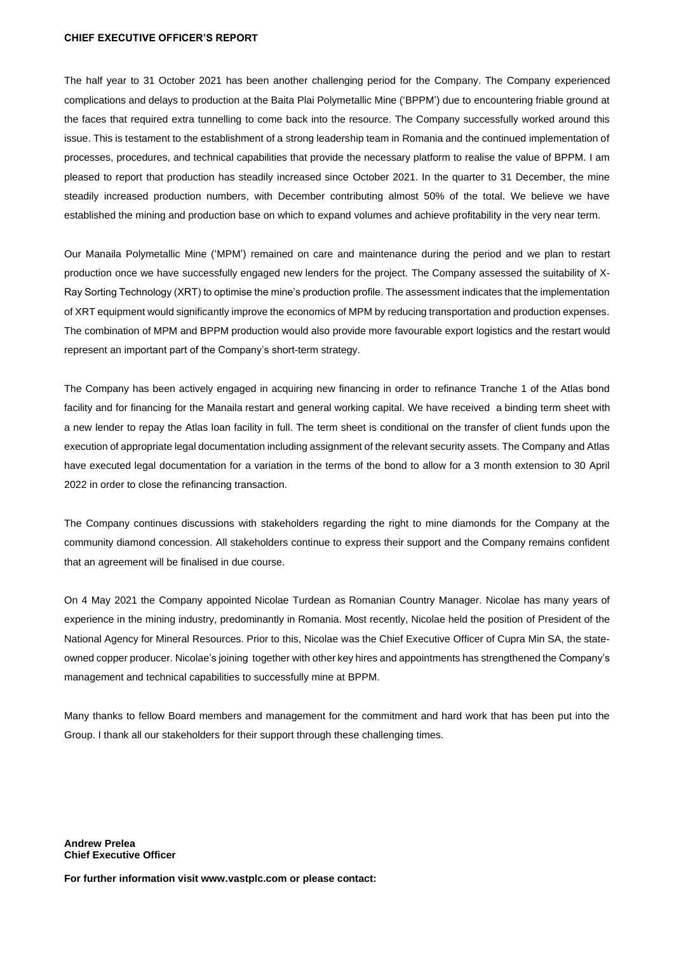#### **CHIEF EXECUTIVE OFFICER'S REPORT**

The half year to 31 October 2021 has been another challenging period for the Company. The Company experienced complications and delays to production at the Baita Plai Polymetallic Mine ('BPPM') due to encountering friable ground at the faces that required extra tunnelling to come back into the resource. The Company successfully worked around this issue. This is testament to the establishment of a strong leadership team in Romania and the continued implementation of processes, procedures, and technical capabilities that provide the necessary platform to realise the value of BPPM. I am pleased to report that production has steadily increased since October 2021. In the quarter to 31 December, the mine steadily increased production numbers, with December contributing almost 50% of the total. We believe we have established the mining and production base on which to expand volumes and achieve profitability in the very near term.

Our Manaila Polymetallic Mine ('MPM') remained on care and maintenance during the period and we plan to restart production once we have successfully engaged new lenders for the project. The Company assessed the suitability of X-Ray Sorting Technology (XRT) to optimise the mine's production profile. The assessment indicates that the implementation of XRT equipment would significantly improve the economics of MPM by reducing transportation and production expenses. The combination of MPM and BPPM production would also provide more favourable export logistics and the restart would represent an important part of the Company's short-term strategy.

The Company has been actively engaged in acquiring new financing in order to refinance Tranche 1 of the Atlas bond facility and for financing for the Manaila restart and general working capital. We have received a binding term sheet with a new lender to repay the Atlas loan facility in full. The term sheet is conditional on the transfer of client funds upon the execution of appropriate legal documentation including assignment of the relevant security assets. The Company and Atlas have executed legal documentation for a variation in the terms of the bond to allow for a 3 month extension to 30 April 2022 in order to close the refinancing transaction.

The Company continues discussions with stakeholders regarding the right to mine diamonds for the Company at the community diamond concession. All stakeholders continue to express their support and the Company remains confident that an agreement will be finalised in due course.

On 4 May 2021 the Company appointed Nicolae Turdean as Romanian Country Manager. Nicolae has many years of experience in the mining industry, predominantly in Romania. Most recently, Nicolae held the position of President of the National Agency for Mineral Resources. Prior to this, Nicolae was the Chief Executive Officer of Cupra Min SA, the stateowned copper producer. Nicolae's joining together with other key hires and appointments has strengthened the Company's management and technical capabilities to successfully mine at BPPM.

Many thanks to fellow Board members and management for the commitment and hard work that has been put into the Group. I thank all our stakeholders for their support through these challenging times.

**Andrew Prelea Chief Executive Officer**

**For further information visit www.vastplc.com or please contact:**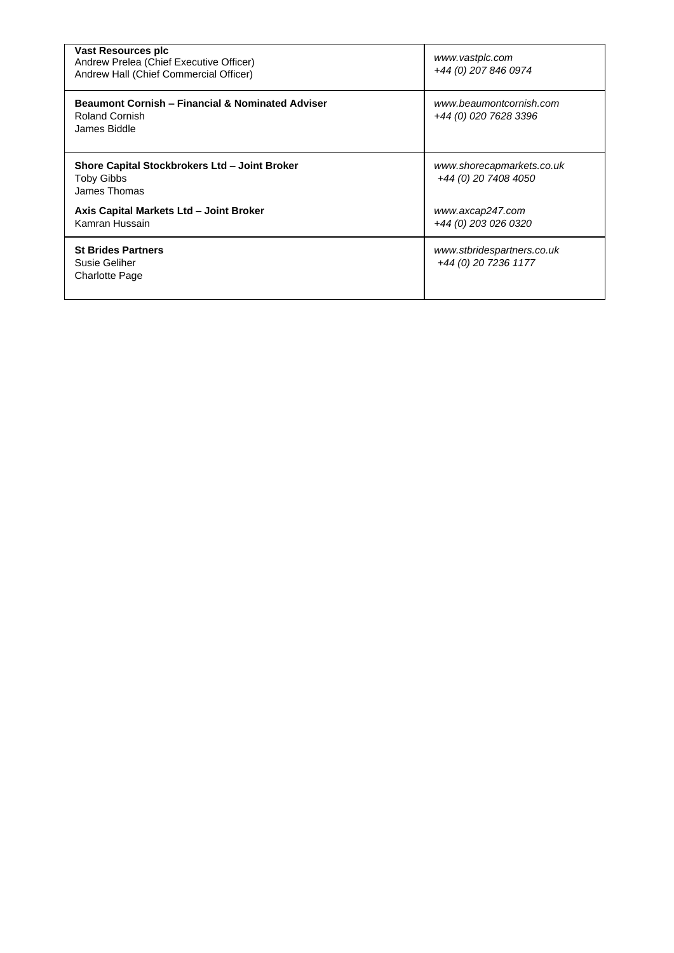| Vast Resources plc<br>Andrew Prelea (Chief Executive Officer)<br>Andrew Hall (Chief Commercial Officer) | www.vastplc.com<br>+44 (0) 207 846 0974            |
|---------------------------------------------------------------------------------------------------------|----------------------------------------------------|
| <b>Beaumont Cornish - Financial &amp; Nominated Adviser</b><br>Roland Cornish<br>James Biddle           | www.beaumontcornish.com<br>+44 (0) 020 7628 3396   |
| Shore Capital Stockbrokers Ltd - Joint Broker<br>Toby Gibbs<br>James Thomas                             | www.shorecapmarkets.co.uk<br>+44 (0) 20 7408 4050  |
| Axis Capital Markets Ltd - Joint Broker<br>Kamran Hussain                                               | www.axcap247.com<br>+44 (0) 203 026 0320           |
| <b>St Brides Partners</b><br>Susie Geliher<br>Charlotte Page                                            | www.stbridespartners.co.uk<br>+44 (0) 20 7236 1177 |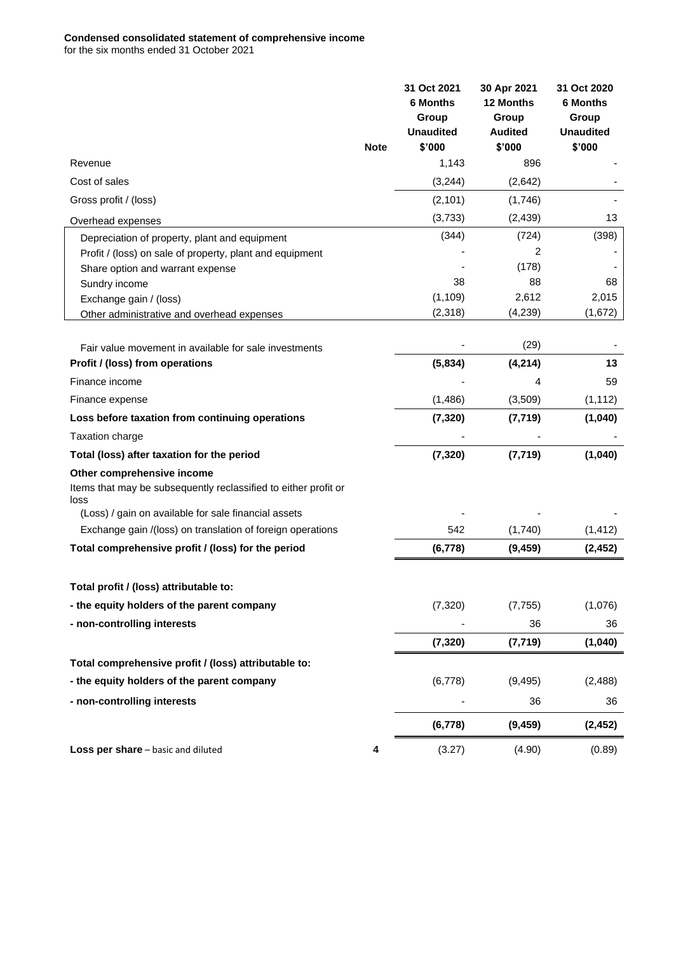#### **Condensed consolidated statement of comprehensive income** for the six months ended 31 October 2021

|                                                                         |             | 31 Oct 2021<br><b>6 Months</b><br>Group<br><b>Unaudited</b> | 30 Apr 2021<br>12 Months<br>Group<br><b>Audited</b> | 31 Oct 2020<br><b>6 Months</b><br>Group<br><b>Unaudited</b> |
|-------------------------------------------------------------------------|-------------|-------------------------------------------------------------|-----------------------------------------------------|-------------------------------------------------------------|
|                                                                         | <b>Note</b> | \$'000                                                      | \$'000                                              | \$'000                                                      |
| Revenue                                                                 |             | 1,143                                                       | 896                                                 |                                                             |
| Cost of sales                                                           |             | (3,244)                                                     | (2,642)                                             |                                                             |
| Gross profit / (loss)                                                   |             | (2, 101)                                                    | (1,746)                                             |                                                             |
| Overhead expenses                                                       |             | (3,733)                                                     | (2, 439)                                            | 13                                                          |
| Depreciation of property, plant and equipment                           |             | (344)                                                       | (724)                                               | (398)                                                       |
| Profit / (loss) on sale of property, plant and equipment                |             |                                                             | 2                                                   |                                                             |
| Share option and warrant expense                                        |             |                                                             | (178)                                               |                                                             |
| Sundry income                                                           |             | 38                                                          | 88                                                  | 68                                                          |
| Exchange gain / (loss)                                                  |             | (1, 109)                                                    | 2,612                                               | 2,015                                                       |
| Other administrative and overhead expenses                              |             | (2,318)                                                     | (4,239)                                             | (1,672)                                                     |
| Fair value movement in available for sale investments                   |             |                                                             | (29)                                                |                                                             |
| Profit / (loss) from operations                                         |             | (5,834)                                                     | (4, 214)                                            | 13                                                          |
| Finance income                                                          |             |                                                             | 4                                                   | 59                                                          |
| Finance expense                                                         |             | (1, 486)                                                    | (3,509)                                             | (1, 112)                                                    |
| Loss before taxation from continuing operations                         |             | (7, 320)                                                    | (7, 719)                                            | (1,040)                                                     |
| Taxation charge                                                         |             |                                                             |                                                     |                                                             |
| Total (loss) after taxation for the period                              |             | (7, 320)                                                    | (7, 719)                                            | (1,040)                                                     |
| Other comprehensive income                                              |             |                                                             |                                                     |                                                             |
| Items that may be subsequently reclassified to either profit or<br>loss |             |                                                             |                                                     |                                                             |
| (Loss) / gain on available for sale financial assets                    |             |                                                             |                                                     |                                                             |
| Exchange gain /(loss) on translation of foreign operations              |             | 542                                                         | (1,740)                                             | (1, 412)                                                    |
| Total comprehensive profit / (loss) for the period                      |             | (6, 778)                                                    | (9, 459)                                            | (2, 452)                                                    |
| Total profit / (loss) attributable to:                                  |             |                                                             |                                                     |                                                             |
| - the equity holders of the parent company                              |             | (7,320)                                                     | (7, 755)                                            | (1,076)                                                     |
| - non-controlling interests                                             |             |                                                             | 36                                                  | 36                                                          |
|                                                                         |             | (7, 320)                                                    | (7, 719)                                            | (1,040)                                                     |
| Total comprehensive profit / (loss) attributable to:                    |             |                                                             |                                                     |                                                             |
|                                                                         |             |                                                             |                                                     |                                                             |
| - the equity holders of the parent company                              |             | (6,778)                                                     | (9, 495)                                            | (2,488)                                                     |
| - non-controlling interests                                             |             |                                                             | 36                                                  | 36                                                          |
|                                                                         |             | (6, 778)                                                    | (9, 459)                                            | (2, 452)                                                    |
| Loss per share - basic and diluted                                      | 4           | (3.27)                                                      | (4.90)                                              | (0.89)                                                      |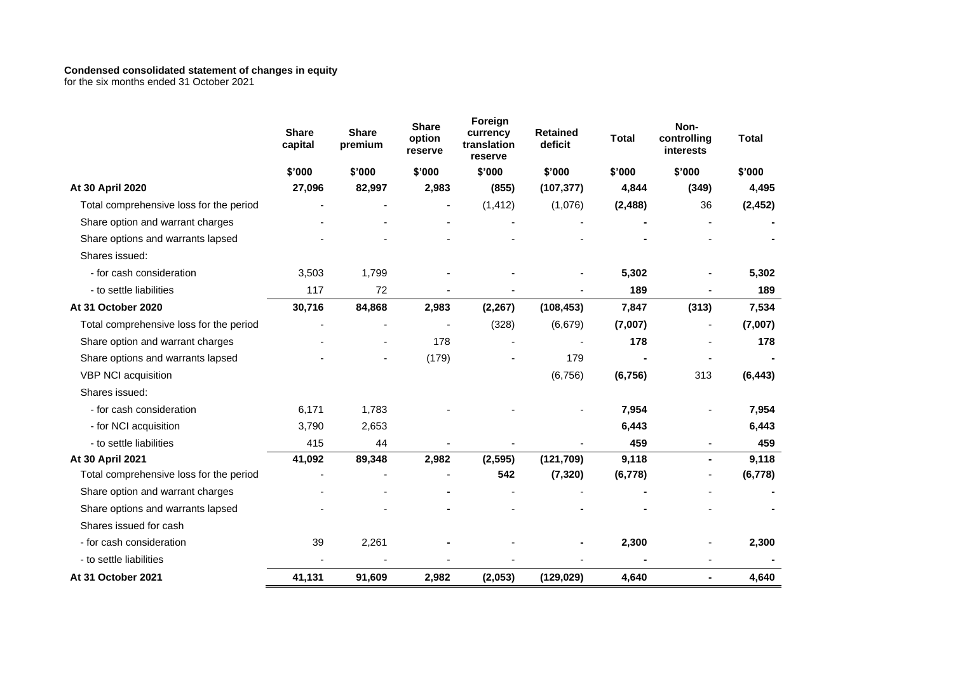#### **Condensed consolidated statement of changes in equity**

for the six months ended 31 October 2021

|                                         | <b>Share</b><br>capital | <b>Share</b><br>premium | <b>Share</b><br>option<br>reserve | Foreign<br>currency<br>translation<br>reserve | <b>Retained</b><br>deficit | <b>Total</b> | Non-<br>controlling<br>interests | <b>Total</b> |
|-----------------------------------------|-------------------------|-------------------------|-----------------------------------|-----------------------------------------------|----------------------------|--------------|----------------------------------|--------------|
|                                         | \$'000                  | \$'000                  | \$'000                            | \$'000                                        | \$'000                     | \$'000       | \$'000                           | \$'000       |
| At 30 April 2020                        | 27,096                  | 82,997                  | 2,983                             | (855)                                         | (107, 377)                 | 4,844        | (349)                            | 4,495        |
| Total comprehensive loss for the period |                         |                         |                                   | (1, 412)                                      | (1,076)                    | (2, 488)     | 36                               | (2, 452)     |
| Share option and warrant charges        |                         |                         |                                   |                                               |                            |              |                                  |              |
| Share options and warrants lapsed       |                         |                         |                                   |                                               |                            |              |                                  |              |
| Shares issued:                          |                         |                         |                                   |                                               |                            |              |                                  |              |
| - for cash consideration                | 3,503                   | 1,799                   |                                   |                                               |                            | 5,302        |                                  | 5,302        |
| - to settle liabilities                 | 117                     | 72                      |                                   |                                               |                            | 189          |                                  | 189          |
| At 31 October 2020                      | 30,716                  | 84,868                  | 2,983                             | (2, 267)                                      | (108, 453)                 | 7,847        | (313)                            | 7,534        |
| Total comprehensive loss for the period |                         |                         |                                   | (328)                                         | (6,679)                    | (7,007)      |                                  | (7,007)      |
| Share option and warrant charges        |                         |                         | 178                               |                                               |                            | 178          |                                  | 178          |
| Share options and warrants lapsed       |                         |                         | (179)                             |                                               | 179                        |              |                                  |              |
| VBP NCI acquisition                     |                         |                         |                                   |                                               | (6,756)                    | (6, 756)     | 313                              | (6, 443)     |
| Shares issued:                          |                         |                         |                                   |                                               |                            |              |                                  |              |
| - for cash consideration                | 6,171                   | 1,783                   |                                   |                                               |                            | 7,954        |                                  | 7,954        |
| - for NCI acquisition                   | 3,790                   | 2,653                   |                                   |                                               |                            | 6,443        |                                  | 6,443        |
| - to settle liabilities                 | 415                     | 44                      |                                   |                                               |                            | 459          |                                  | 459          |
| At 30 April 2021                        | 41,092                  | 89,348                  | 2,982                             | (2, 595)                                      | (121, 709)                 | 9,118        | $\blacksquare$                   | 9,118        |
| Total comprehensive loss for the period |                         |                         |                                   | 542                                           | (7, 320)                   | (6,778)      |                                  | (6,778)      |
| Share option and warrant charges        |                         |                         |                                   |                                               |                            |              |                                  |              |
| Share options and warrants lapsed       |                         |                         |                                   |                                               |                            |              |                                  |              |
| Shares issued for cash                  |                         |                         |                                   |                                               |                            |              |                                  |              |
| - for cash consideration                | 39                      | 2,261                   |                                   |                                               |                            | 2,300        |                                  | 2,300        |
| - to settle liabilities                 |                         |                         |                                   |                                               |                            |              |                                  |              |
| At 31 October 2021                      | 41,131                  | 91,609                  | 2,982                             | (2,053)                                       | (129, 029)                 | 4,640        |                                  | 4,640        |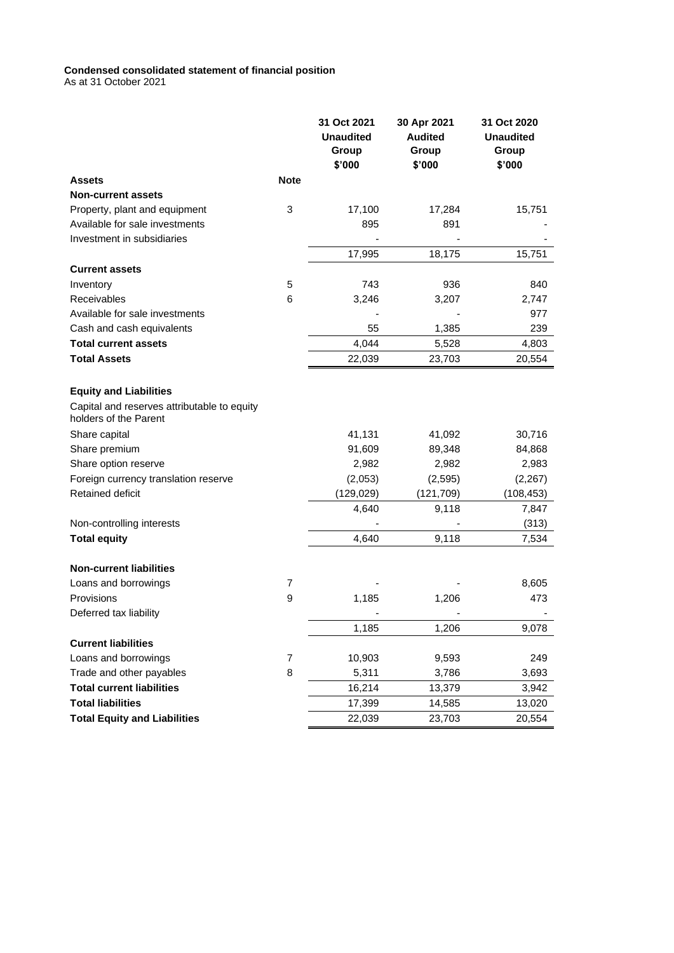#### **Condensed consolidated statement of financial position**

As at 31 October 2021

|                                                                      |             | 31 Oct 2021<br><b>Unaudited</b><br>Group<br>\$'000 | 30 Apr 2021<br><b>Audited</b><br>Group<br>\$'000 | 31 Oct 2020<br><b>Unaudited</b><br>Group<br>\$'000 |
|----------------------------------------------------------------------|-------------|----------------------------------------------------|--------------------------------------------------|----------------------------------------------------|
| <b>Assets</b>                                                        | <b>Note</b> |                                                    |                                                  |                                                    |
| <b>Non-current assets</b>                                            |             |                                                    |                                                  |                                                    |
| Property, plant and equipment                                        | 3           | 17,100                                             | 17,284                                           | 15,751                                             |
| Available for sale investments                                       |             | 895                                                | 891                                              |                                                    |
| Investment in subsidiaries                                           |             |                                                    |                                                  |                                                    |
|                                                                      |             | 17,995                                             | 18,175                                           | 15,751                                             |
| <b>Current assets</b>                                                |             |                                                    |                                                  |                                                    |
| Inventory                                                            | 5           | 743                                                | 936                                              | 840                                                |
| Receivables                                                          | 6           | 3,246                                              | 3,207                                            | 2,747                                              |
| Available for sale investments                                       |             |                                                    |                                                  | 977                                                |
| Cash and cash equivalents                                            |             | 55                                                 | 1,385                                            | 239                                                |
| <b>Total current assets</b>                                          |             | 4,044                                              | 5,528                                            | 4,803                                              |
| <b>Total Assets</b>                                                  |             | 22,039                                             | 23,703                                           | 20,554                                             |
|                                                                      |             |                                                    |                                                  |                                                    |
| <b>Equity and Liabilities</b>                                        |             |                                                    |                                                  |                                                    |
| Capital and reserves attributable to equity<br>holders of the Parent |             |                                                    |                                                  |                                                    |
| Share capital                                                        |             | 41,131                                             | 41,092                                           | 30,716                                             |
| Share premium                                                        |             | 91,609                                             | 89,348                                           | 84,868                                             |
| Share option reserve                                                 |             | 2,982                                              | 2,982                                            | 2,983                                              |
| Foreign currency translation reserve                                 |             | (2,053)                                            | (2,595)                                          | (2, 267)                                           |
| Retained deficit                                                     |             | (129, 029)                                         | (121, 709)                                       | (108, 453)                                         |
|                                                                      |             | 4,640                                              | 9,118                                            | 7,847                                              |
| Non-controlling interests                                            |             |                                                    |                                                  | (313)                                              |
| <b>Total equity</b>                                                  |             | 4,640                                              | 9,118                                            | 7,534                                              |
| <b>Non-current liabilities</b>                                       |             |                                                    |                                                  |                                                    |
| Loans and borrowings                                                 | 7           |                                                    |                                                  | 8,605                                              |
| Provisions                                                           | 9           | 1,185                                              | 1,206                                            | 473                                                |
| Deferred tax liability                                               |             |                                                    |                                                  |                                                    |
|                                                                      |             | 1,185                                              | 1,206                                            | 9,078                                              |
| <b>Current liabilities</b>                                           |             |                                                    |                                                  |                                                    |
| Loans and borrowings                                                 | 7           | 10,903                                             | 9,593                                            | 249                                                |
| Trade and other payables                                             | 8           | 5,311                                              | 3,786                                            | 3,693                                              |
| <b>Total current liabilities</b>                                     |             | 16,214                                             | 13,379                                           | 3,942                                              |
| <b>Total liabilities</b>                                             |             | 17,399                                             | 14,585                                           | 13,020                                             |
| <b>Total Equity and Liabilities</b>                                  |             | 22,039                                             | 23,703                                           | 20,554                                             |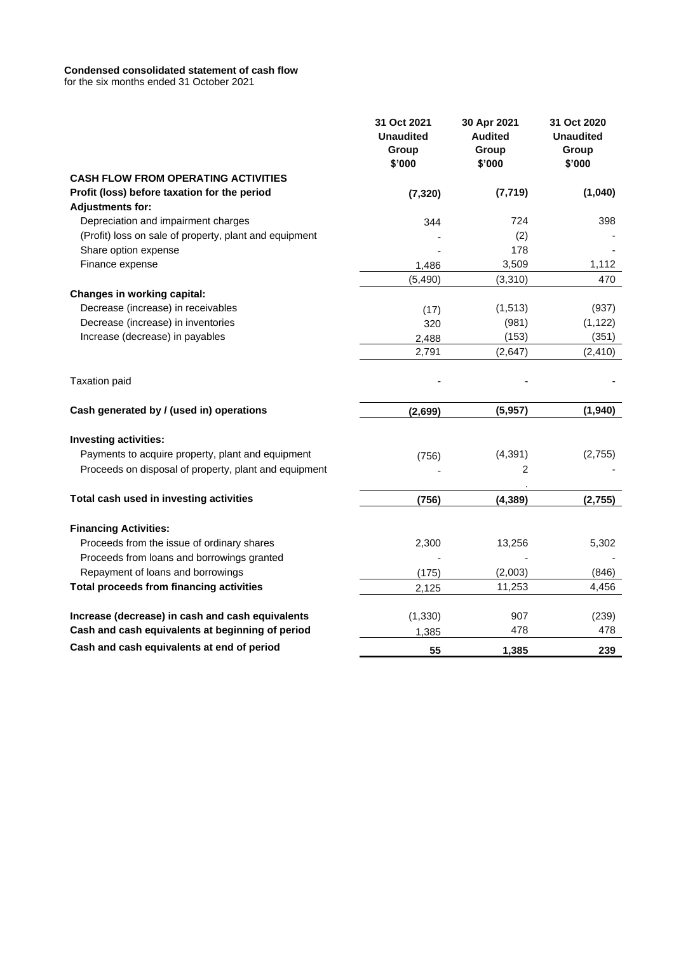#### **Condensed consolidated statement of cash flow**

for the six months ended 31 October 2021

|                                                        | 31 Oct 2021<br><b>Unaudited</b><br>Group<br>\$'000 | 30 Apr 2021<br><b>Audited</b><br>Group<br>\$'000 | 31 Oct 2020<br><b>Unaudited</b><br>Group<br>\$'000 |
|--------------------------------------------------------|----------------------------------------------------|--------------------------------------------------|----------------------------------------------------|
| <b>CASH FLOW FROM OPERATING ACTIVITIES</b>             |                                                    |                                                  |                                                    |
| Profit (loss) before taxation for the period           | (7, 320)                                           | (7, 719)                                         | (1,040)                                            |
| <b>Adjustments for:</b>                                |                                                    |                                                  |                                                    |
| Depreciation and impairment charges                    | 344                                                | 724                                              | 398                                                |
| (Profit) loss on sale of property, plant and equipment |                                                    | (2)                                              |                                                    |
| Share option expense                                   |                                                    | 178                                              |                                                    |
| Finance expense                                        | 1,486                                              | 3,509                                            | 1,112                                              |
|                                                        | (5, 490)                                           | (3,310)                                          | 470                                                |
| Changes in working capital:                            |                                                    |                                                  |                                                    |
| Decrease (increase) in receivables                     | (17)                                               | (1, 513)                                         | (937)                                              |
| Decrease (increase) in inventories                     | 320                                                | (981)                                            | (1, 122)                                           |
| Increase (decrease) in payables                        | 2,488                                              | (153)                                            | (351)                                              |
|                                                        | 2,791                                              | (2,647)                                          | (2, 410)                                           |
| <b>Taxation paid</b>                                   |                                                    |                                                  |                                                    |
| Cash generated by / (used in) operations               | (2,699)                                            | (5,957)                                          | (1,940)                                            |
| <b>Investing activities:</b>                           |                                                    |                                                  |                                                    |
| Payments to acquire property, plant and equipment      | (756)                                              | (4, 391)                                         | (2,755)                                            |
| Proceeds on disposal of property, plant and equipment  |                                                    | 2                                                |                                                    |
| Total cash used in investing activities                |                                                    |                                                  |                                                    |
|                                                        | (756)                                              | (4, 389)                                         | (2,755)                                            |
| <b>Financing Activities:</b>                           |                                                    |                                                  |                                                    |
| Proceeds from the issue of ordinary shares             | 2,300                                              | 13,256                                           | 5,302                                              |
| Proceeds from loans and borrowings granted             |                                                    |                                                  |                                                    |
| Repayment of loans and borrowings                      | (175)                                              | (2,003)                                          | (846)                                              |
| <b>Total proceeds from financing activities</b>        | 2,125                                              | 11,253                                           | 4,456                                              |
| Increase (decrease) in cash and cash equivalents       | (1, 330)                                           | 907                                              | (239)                                              |
| Cash and cash equivalents at beginning of period       | 1,385                                              | 478                                              | 478                                                |
| Cash and cash equivalents at end of period             | 55                                                 | 1,385                                            | 239                                                |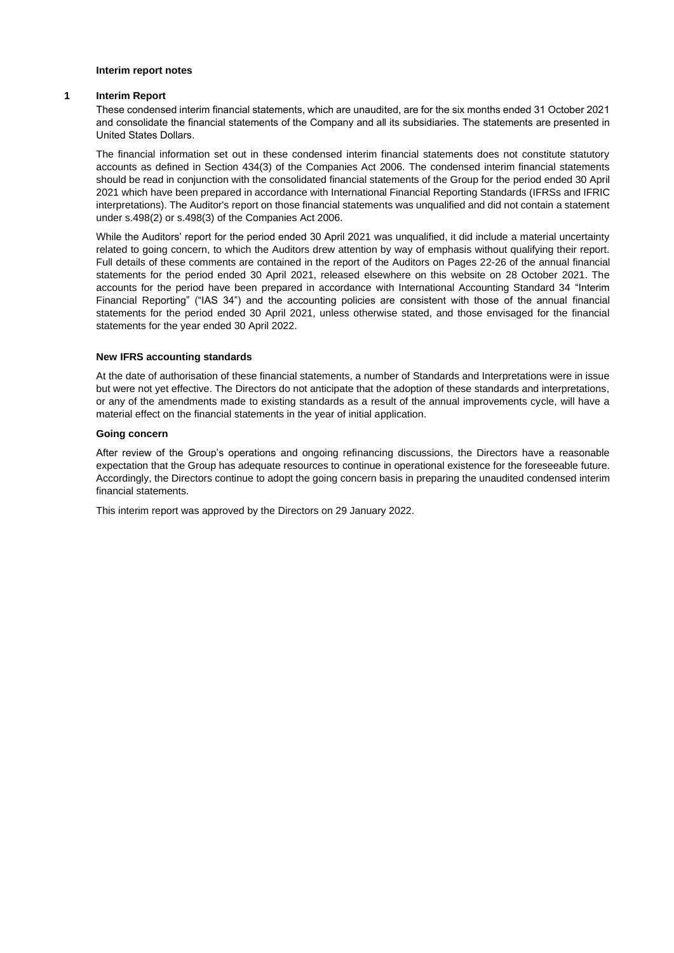#### **Interim report notes**

#### **1 Interim Report**

These condensed interim financial statements, which are unaudited, are for the six months ended 31 October 2021 and consolidate the financial statements of the Company and all its subsidiaries. The statements are presented in United States Dollars.

The financial information set out in these condensed interim financial statements does not constitute statutory accounts as defined in Section 434(3) of the Companies Act 2006. The condensed interim financial statements should be read in conjunction with the consolidated financial statements of the Group for the period ended 30 April 2021 which have been prepared in accordance with International Financial Reporting Standards (IFRSs and IFRIC interpretations). The Auditor's report on those financial statements was unqualified and did not contain a statement under s.498(2) or s.498(3) of the Companies Act 2006.

While the Auditors' report for the period ended 30 April 2021 was unqualified, it did include a material uncertainty related to going concern, to which the Auditors drew attention by way of emphasis without qualifying their report. Full details of these comments are contained in the report of the Auditors on Pages 22-26 of the annual financial statements for the period ended 30 April 2021, released elsewhere on this website on 28 October 2021. The accounts for the period have been prepared in accordance with International Accounting Standard 34 "Interim Financial Reporting" ("IAS 34") and the accounting policies are consistent with those of the annual financial statements for the period ended 30 April 2021, unless otherwise stated, and those envisaged for the financial statements for the year ended 30 April 2022.

#### **New IFRS accounting standards**

At the date of authorisation of these financial statements, a number of Standards and Interpretations were in issue but were not yet effective. The Directors do not anticipate that the adoption of these standards and interpretations, or any of the amendments made to existing standards as a result of the annual improvements cycle, will have a material effect on the financial statements in the year of initial application.

#### **Going concern**

After review of the Group's operations and ongoing refinancing discussions, the Directors have a reasonable expectation that the Group has adequate resources to continue in operational existence for the foreseeable future. Accordingly, the Directors continue to adopt the going concern basis in preparing the unaudited condensed interim financial statements.

This interim report was approved by the Directors on 29 January 2022.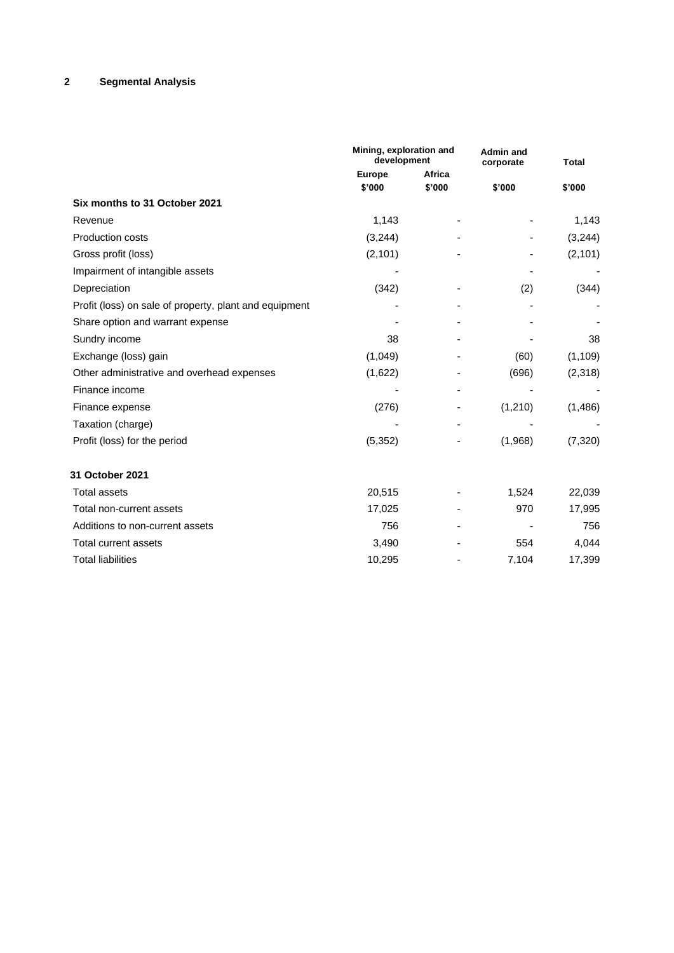# **2 Segmental Analysis**

|                                                        | Mining, exploration and<br>development |        | <b>Admin and</b><br>corporate | <b>Total</b> |
|--------------------------------------------------------|----------------------------------------|--------|-------------------------------|--------------|
|                                                        | <b>Europe</b>                          | Africa |                               |              |
|                                                        | \$'000                                 | \$'000 | \$'000                        | \$'000       |
| Six months to 31 October 2021                          |                                        |        |                               |              |
| Revenue                                                | 1,143                                  |        |                               | 1,143        |
| <b>Production costs</b>                                | (3,244)                                |        |                               | (3,244)      |
| Gross profit (loss)                                    | (2, 101)                               |        |                               | (2, 101)     |
| Impairment of intangible assets                        |                                        |        |                               |              |
| Depreciation                                           | (342)                                  |        | (2)                           | (344)        |
| Profit (loss) on sale of property, plant and equipment |                                        |        |                               |              |
| Share option and warrant expense                       |                                        |        |                               |              |
| Sundry income                                          | 38                                     |        |                               | 38           |
| Exchange (loss) gain                                   | (1,049)                                |        | (60)                          | (1, 109)     |
| Other administrative and overhead expenses             | (1,622)                                |        | (696)                         | (2,318)      |
| Finance income                                         |                                        |        |                               |              |
| Finance expense                                        | (276)                                  |        | (1,210)                       | (1,486)      |
| Taxation (charge)                                      |                                        |        |                               |              |
| Profit (loss) for the period                           | (5, 352)                               |        | (1,968)                       | (7, 320)     |
| 31 October 2021                                        |                                        |        |                               |              |
| <b>Total assets</b>                                    | 20,515                                 |        | 1,524                         | 22,039       |
| Total non-current assets                               | 17,025                                 |        | 970                           | 17,995       |
| Additions to non-current assets                        | 756                                    |        |                               | 756          |
| Total current assets                                   | 3,490                                  |        | 554                           | 4,044        |
| <b>Total liabilities</b>                               | 10,295                                 |        | 7,104                         | 17,399       |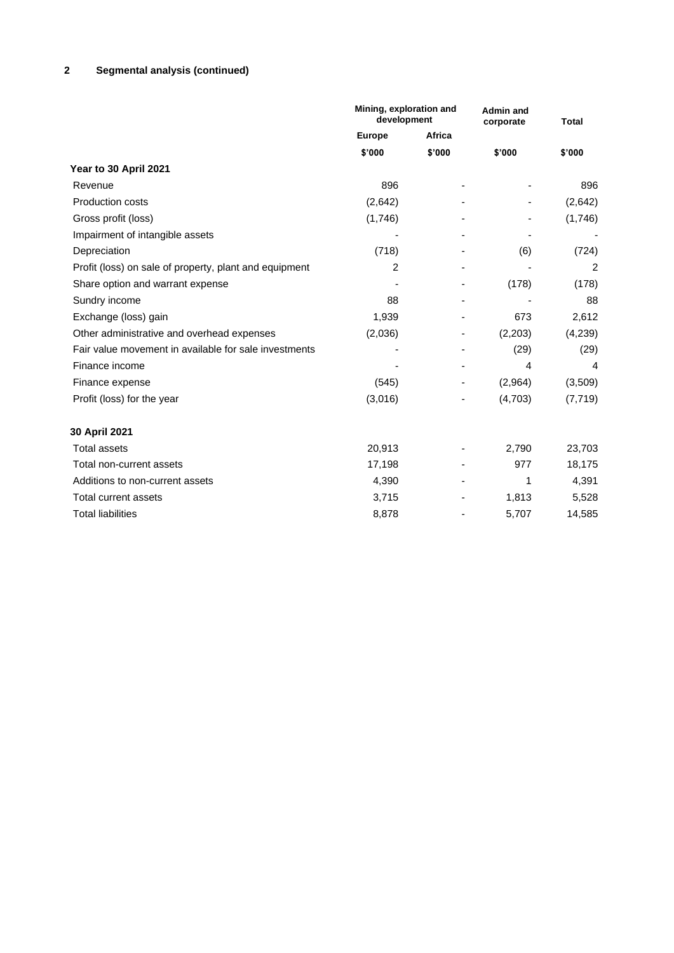# **2 Segmental analysis (continued)**

|                                                        | Mining, exploration and<br>development |        | <b>Admin and</b><br>corporate | <b>Total</b> |  |
|--------------------------------------------------------|----------------------------------------|--------|-------------------------------|--------------|--|
|                                                        | <b>Europe</b>                          | Africa |                               |              |  |
|                                                        | \$'000                                 | \$'000 | \$'000                        | \$'000       |  |
| Year to 30 April 2021                                  |                                        |        |                               |              |  |
| Revenue                                                | 896                                    |        |                               | 896          |  |
| <b>Production costs</b>                                | (2,642)                                |        |                               | (2,642)      |  |
| Gross profit (loss)                                    | (1,746)                                |        |                               | (1,746)      |  |
| Impairment of intangible assets                        |                                        |        |                               |              |  |
| Depreciation                                           | (718)                                  |        | (6)                           | (724)        |  |
| Profit (loss) on sale of property, plant and equipment | 2                                      |        |                               | 2            |  |
| Share option and warrant expense                       |                                        |        | (178)                         | (178)        |  |
| Sundry income                                          | 88                                     |        |                               | 88           |  |
| Exchange (loss) gain                                   | 1,939                                  |        | 673                           | 2,612        |  |
| Other administrative and overhead expenses             | (2,036)                                |        | (2,203)                       | (4,239)      |  |
| Fair value movement in available for sale investments  |                                        |        | (29)                          | (29)         |  |
| Finance income                                         |                                        |        | 4                             | 4            |  |
| Finance expense                                        | (545)                                  |        | (2,964)                       | (3,509)      |  |
| Profit (loss) for the year                             | (3,016)                                |        | (4,703)                       | (7, 719)     |  |
| 30 April 2021                                          |                                        |        |                               |              |  |
| <b>Total assets</b>                                    | 20,913                                 |        | 2,790                         | 23,703       |  |
| Total non-current assets                               | 17,198                                 |        | 977                           | 18,175       |  |
| Additions to non-current assets                        | 4,390                                  |        | 1                             | 4,391        |  |
| Total current assets                                   | 3,715                                  |        | 1,813                         | 5,528        |  |
| <b>Total liabilities</b>                               | 8,878                                  |        | 5,707                         | 14,585       |  |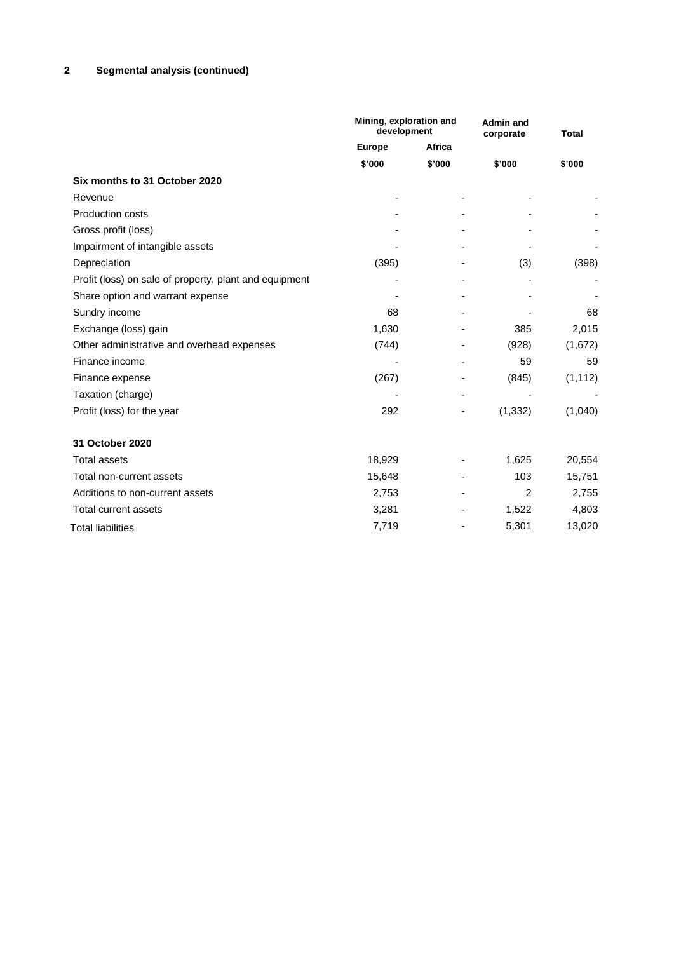# **2 Segmental analysis (continued)**

|                                                        | Mining, exploration and<br>development |        | <b>Admin and</b><br>corporate | <b>Total</b> |  |
|--------------------------------------------------------|----------------------------------------|--------|-------------------------------|--------------|--|
|                                                        | Africa<br><b>Europe</b>                |        |                               |              |  |
|                                                        | \$'000                                 | \$'000 | \$'000                        | \$'000       |  |
| Six months to 31 October 2020                          |                                        |        |                               |              |  |
| Revenue                                                |                                        |        |                               |              |  |
| <b>Production costs</b>                                |                                        |        |                               |              |  |
| Gross profit (loss)                                    |                                        |        |                               |              |  |
| Impairment of intangible assets                        |                                        |        |                               |              |  |
| Depreciation                                           | (395)                                  |        | (3)                           | (398)        |  |
| Profit (loss) on sale of property, plant and equipment |                                        |        |                               |              |  |
| Share option and warrant expense                       |                                        |        |                               |              |  |
| Sundry income                                          | 68                                     |        |                               | 68           |  |
| Exchange (loss) gain                                   | 1,630                                  |        | 385                           | 2,015        |  |
| Other administrative and overhead expenses             | (744)                                  |        | (928)                         | (1,672)      |  |
| Finance income                                         |                                        |        | 59                            | 59           |  |
| Finance expense                                        | (267)                                  |        | (845)                         | (1, 112)     |  |
| Taxation (charge)                                      |                                        |        |                               |              |  |
| Profit (loss) for the year                             | 292                                    |        | (1, 332)                      | (1,040)      |  |
| 31 October 2020                                        |                                        |        |                               |              |  |
| <b>Total assets</b>                                    | 18,929                                 |        | 1,625                         | 20,554       |  |
| Total non-current assets                               | 15,648                                 | ٠      | 103                           | 15,751       |  |
| Additions to non-current assets                        | 2,753                                  |        | 2                             | 2,755        |  |
| Total current assets                                   | 3,281                                  |        | 1,522                         | 4,803        |  |
| <b>Total liabilities</b>                               | 7,719                                  |        | 5,301                         | 13,020       |  |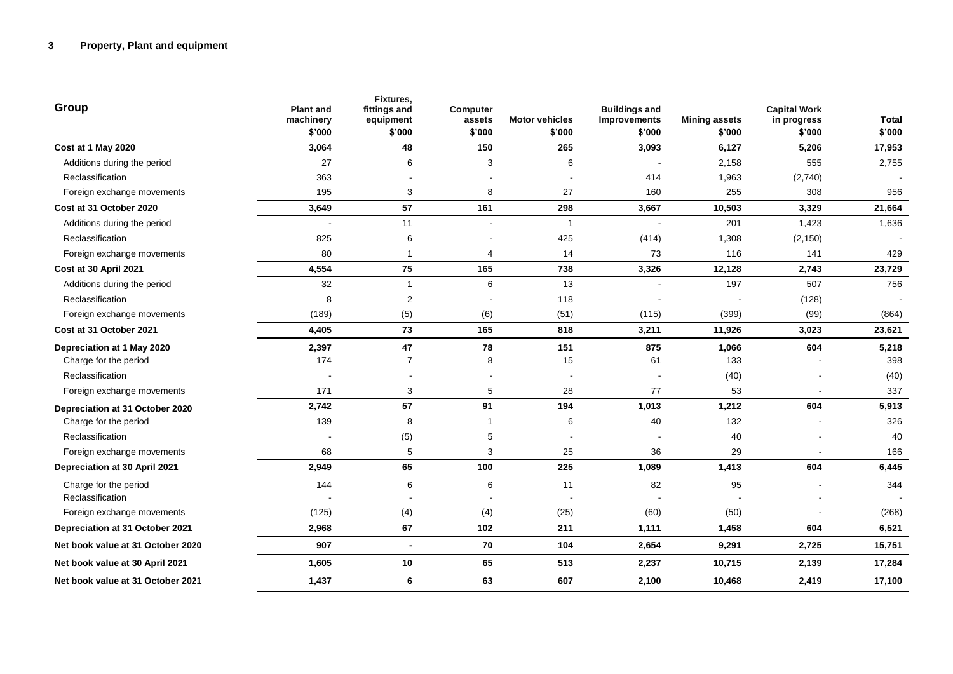| Group                                     | <b>Plant and</b><br>machinery<br>\$'000 | Fixtures,<br>fittings and<br>equipment<br>\$'000 | <b>Computer</b><br>assets<br>\$'000 | <b>Motor vehicles</b><br>\$'000 | <b>Buildings and</b><br>Improvements<br>\$'000 | <b>Mining assets</b><br>\$'000 | <b>Capital Work</b><br>in progress<br>\$'000 | <b>Total</b><br>\$'000 |
|-------------------------------------------|-----------------------------------------|--------------------------------------------------|-------------------------------------|---------------------------------|------------------------------------------------|--------------------------------|----------------------------------------------|------------------------|
| Cost at 1 May 2020                        | 3,064                                   | 48                                               | 150                                 | 265                             | 3,093                                          | 6,127                          | 5,206                                        | 17,953                 |
| Additions during the period               | 27                                      | 6                                                | 3                                   | 6                               |                                                | 2,158                          | 555                                          | 2,755                  |
| Reclassification                          | 363                                     |                                                  |                                     |                                 | 414                                            | 1,963                          | (2,740)                                      |                        |
| Foreign exchange movements                | 195                                     | 3                                                | 8                                   | 27                              | 160                                            | 255                            | 308                                          | 956                    |
| Cost at 31 October 2020                   | 3,649                                   | 57                                               | 161                                 | 298                             | 3,667                                          | 10,503                         | 3,329                                        | 21,664                 |
| Additions during the period               |                                         | 11                                               |                                     | 1                               |                                                | 201                            | 1,423                                        | 1,636                  |
| Reclassification                          | 825                                     | 6                                                |                                     | 425                             | (414)                                          | 1,308                          | (2, 150)                                     |                        |
| Foreign exchange movements                | 80                                      | $\overline{1}$                                   | 4                                   | 14                              | 73                                             | 116                            | 141                                          | 429                    |
| Cost at 30 April 2021                     | 4,554                                   | 75                                               | 165                                 | 738                             | 3,326                                          | 12,128                         | 2,743                                        | 23,729                 |
| Additions during the period               | 32                                      | $\mathbf{1}$                                     | 6                                   | 13                              |                                                | 197                            | 507                                          | 756                    |
| Reclassification                          | 8                                       | 2                                                |                                     | 118                             |                                                |                                | (128)                                        |                        |
| Foreign exchange movements                | (189)                                   | (5)                                              | (6)                                 | (51)                            | (115)                                          | (399)                          | (99)                                         | (864)                  |
| Cost at 31 October 2021                   | 4,405                                   | 73                                               | 165                                 | 818                             | 3,211                                          | 11,926                         | 3,023                                        | 23,621                 |
| Depreciation at 1 May 2020                | 2,397                                   | 47                                               | 78                                  | 151                             | 875                                            | 1,066                          | 604                                          | 5,218                  |
| Charge for the period                     | 174                                     | $\overline{7}$                                   | 8                                   | 15                              | 61                                             | 133                            |                                              | 398                    |
| Reclassification                          |                                         |                                                  |                                     |                                 |                                                | (40)                           |                                              | (40)                   |
| Foreign exchange movements                | 171                                     | 3                                                | 5                                   | 28                              | 77                                             | 53                             |                                              | 337                    |
| Depreciation at 31 October 2020           | 2,742                                   | 57                                               | 91                                  | 194                             | 1,013                                          | 1,212                          | 604                                          | 5,913                  |
| Charge for the period                     | 139                                     | 8                                                | $\mathbf{1}$                        | 6                               | 40                                             | 132                            |                                              | 326                    |
| Reclassification                          |                                         | (5)                                              | 5                                   |                                 |                                                | 40                             |                                              | 40                     |
| Foreign exchange movements                | 68                                      | 5                                                | 3                                   | 25                              | 36                                             | 29                             |                                              | 166                    |
| <b>Depreciation at 30 April 2021</b>      | 2,949                                   | 65                                               | 100                                 | 225                             | 1,089                                          | 1,413                          | 604                                          | 6,445                  |
| Charge for the period<br>Reclassification | 144                                     | 6                                                | 6                                   | 11                              | 82                                             | 95                             |                                              | 344                    |
| Foreign exchange movements                | (125)                                   | (4)                                              | (4)                                 | (25)                            | (60)                                           | (50)                           |                                              | (268)                  |
| Depreciation at 31 October 2021           | 2,968                                   | 67                                               | 102                                 | 211                             | 1,111                                          | 1,458                          | 604                                          | 6,521                  |
| Net book value at 31 October 2020         | 907                                     | $\blacksquare$                                   | 70                                  | 104                             | 2,654                                          | 9,291                          | 2,725                                        | 15,751                 |
| Net book value at 30 April 2021           | 1,605                                   | 10                                               | 65                                  | 513                             | 2,237                                          | 10,715                         | 2,139                                        | 17,284                 |
| Net book value at 31 October 2021         | 1,437                                   | 6                                                | 63                                  | 607                             | 2,100                                          | 10,468                         | 2,419                                        | 17,100                 |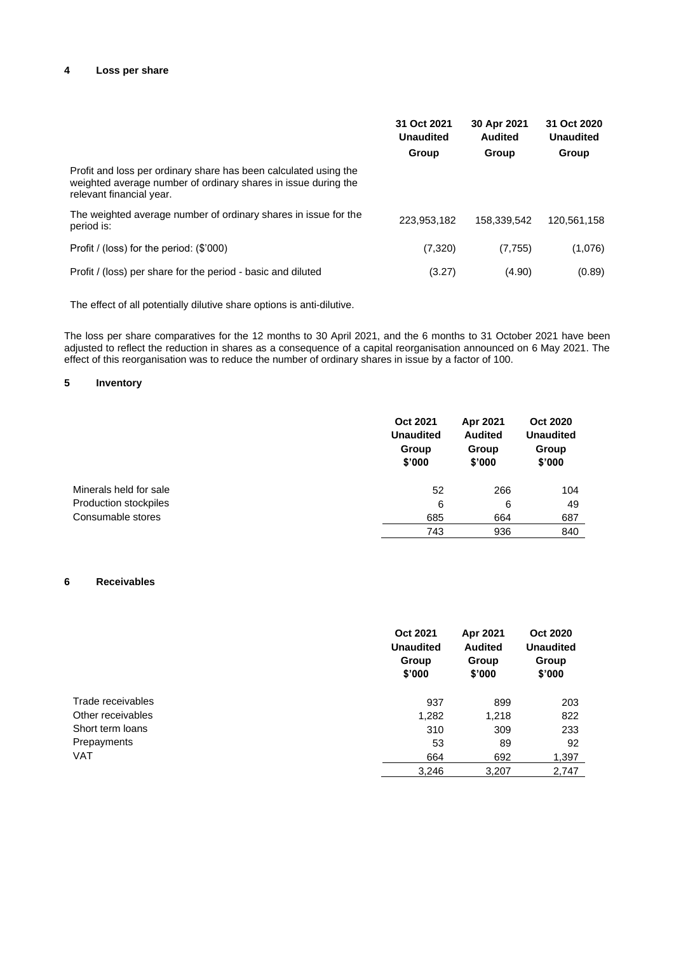#### **4 Loss per share**

|                                                                                                                                                                | 31 Oct 2021<br><b>Unaudited</b><br>Group | 30 Apr 2021<br><b>Audited</b><br>Group | 31 Oct 2020<br><b>Unaudited</b><br>Group |
|----------------------------------------------------------------------------------------------------------------------------------------------------------------|------------------------------------------|----------------------------------------|------------------------------------------|
| Profit and loss per ordinary share has been calculated using the<br>weighted average number of ordinary shares in issue during the<br>relevant financial year. |                                          |                                        |                                          |
| The weighted average number of ordinary shares in issue for the<br>period is:                                                                                  | 223,953,182                              | 158,339,542                            | 120.561.158                              |
| Profit / (loss) for the period: (\$'000)                                                                                                                       | (7,320)                                  | (7, 755)                               | (1,076)                                  |
| Profit / (loss) per share for the period - basic and diluted                                                                                                   | (3.27)                                   | (4.90)                                 | (0.89)                                   |

The effect of all potentially dilutive share options is anti-dilutive.

The loss per share comparatives for the 12 months to 30 April 2021, and the 6 months to 31 October 2021 have been adjusted to reflect the reduction in shares as a consequence of a capital reorganisation announced on 6 May 2021. The effect of this reorganisation was to reduce the number of ordinary shares in issue by a factor of 100.

## **5 Inventory**

|                        | <b>Oct 2021</b><br><b>Unaudited</b><br>Group<br>\$'000 | Apr 2021<br><b>Audited</b><br>Group<br>\$'000 | <b>Oct 2020</b><br><b>Unaudited</b><br>Group<br>\$'000 |
|------------------------|--------------------------------------------------------|-----------------------------------------------|--------------------------------------------------------|
| Minerals held for sale | 52                                                     | 266                                           | 104                                                    |
| Production stockpiles  | 6                                                      | 6                                             | 49                                                     |
| Consumable stores      | 685                                                    | 664                                           | 687                                                    |
|                        | 743                                                    | 936                                           | 840                                                    |

#### **6 Receivables**

|                   | <b>Oct 2021</b><br><b>Unaudited</b><br>Group<br>\$'000 | Apr 2021<br><b>Audited</b><br>Group<br>\$'000 | <b>Oct 2020</b><br><b>Unaudited</b><br>Group<br>\$'000 |
|-------------------|--------------------------------------------------------|-----------------------------------------------|--------------------------------------------------------|
| Trade receivables | 937                                                    | 899                                           | 203                                                    |
| Other receivables | 1,282                                                  | 1,218                                         | 822                                                    |
| Short term loans  | 310                                                    | 309                                           | 233                                                    |
| Prepayments       | 53                                                     | 89                                            | 92                                                     |
| <b>VAT</b>        | 664                                                    | 692                                           | 1,397                                                  |
|                   | 3,246                                                  | 3,207                                         | 2,747                                                  |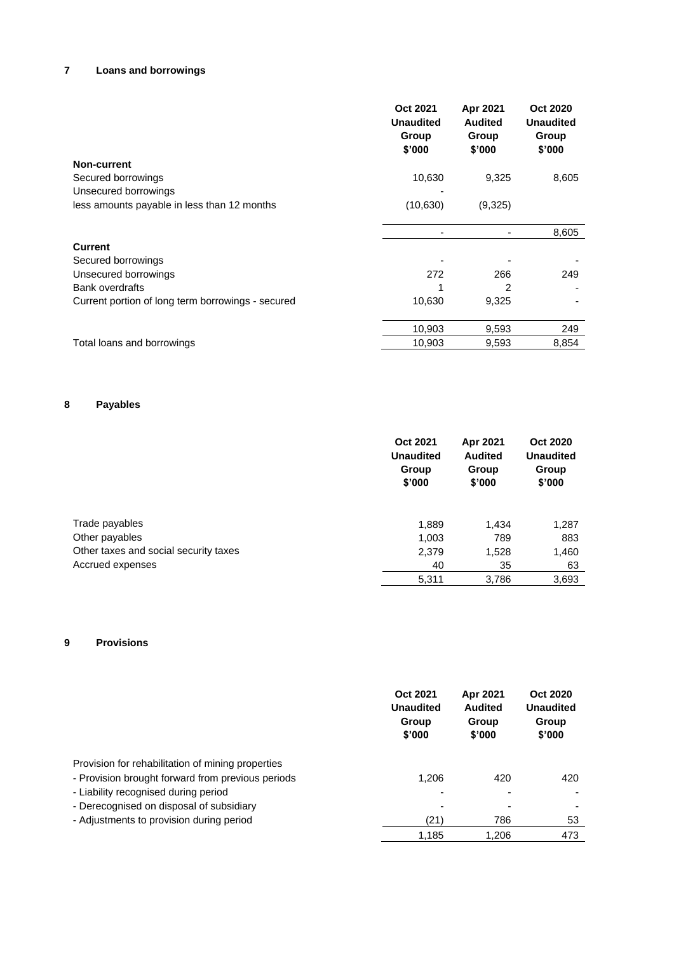# **7 Loans and borrowings**

|                                                   | Oct 2021<br><b>Unaudited</b><br>Group<br>\$'000 | Apr 2021<br><b>Audited</b><br>Group<br>\$'000 | <b>Oct 2020</b><br><b>Unaudited</b><br>Group<br>\$'000 |
|---------------------------------------------------|-------------------------------------------------|-----------------------------------------------|--------------------------------------------------------|
| <b>Non-current</b>                                |                                                 |                                               |                                                        |
| Secured borrowings                                | 10,630                                          | 9,325                                         | 8,605                                                  |
| Unsecured borrowings                              |                                                 |                                               |                                                        |
| less amounts payable in less than 12 months       | (10, 630)                                       | (9,325)                                       |                                                        |
|                                                   |                                                 |                                               |                                                        |
|                                                   |                                                 |                                               | 8,605                                                  |
| <b>Current</b>                                    |                                                 |                                               |                                                        |
| Secured borrowings                                |                                                 |                                               |                                                        |
| Unsecured borrowings                              | 272                                             | 266                                           | 249                                                    |
| <b>Bank overdrafts</b>                            |                                                 | 2                                             |                                                        |
| Current portion of long term borrowings - secured | 10,630                                          | 9,325                                         |                                                        |
|                                                   | 10,903                                          | 9,593                                         | 249                                                    |
| Total loans and borrowings                        | 10,903                                          | 9,593                                         | 8,854                                                  |
|                                                   |                                                 |                                               |                                                        |

# **8 Payables**

|                                       | <b>Oct 2021</b><br><b>Unaudited</b><br>Group<br>\$'000 | Apr 2021<br><b>Audited</b><br>Group<br>\$'000 | Oct 2020<br><b>Unaudited</b><br>Group<br>\$'000 |
|---------------------------------------|--------------------------------------------------------|-----------------------------------------------|-------------------------------------------------|
| Trade payables                        | 1,889                                                  | 1,434                                         | 1,287                                           |
| Other payables                        | 1,003                                                  | 789                                           | 883                                             |
| Other taxes and social security taxes | 2,379                                                  | 1,528                                         | 1,460                                           |
| Accrued expenses                      | 40                                                     | 35                                            | 63                                              |
|                                       | 5,311                                                  | 3,786                                         | 3,693                                           |

## **9 Provisions**

|                                                   | Oct 2021<br><b>Unaudited</b><br>Group<br>\$'000 | Apr 2021<br>Audited<br>Group<br>\$'000 | Oct 2020<br><b>Unaudited</b><br>Group<br>\$'000 |
|---------------------------------------------------|-------------------------------------------------|----------------------------------------|-------------------------------------------------|
| Provision for rehabilitation of mining properties |                                                 |                                        |                                                 |
| - Provision brought forward from previous periods | 1.206                                           | 420                                    | 420                                             |
| - Liability recognised during period              |                                                 |                                        |                                                 |
| - Derecognised on disposal of subsidiary          |                                                 |                                        |                                                 |
| - Adjustments to provision during period          | (21)                                            | 786                                    | 53                                              |
|                                                   | 1.185                                           | 1.206                                  | 473                                             |